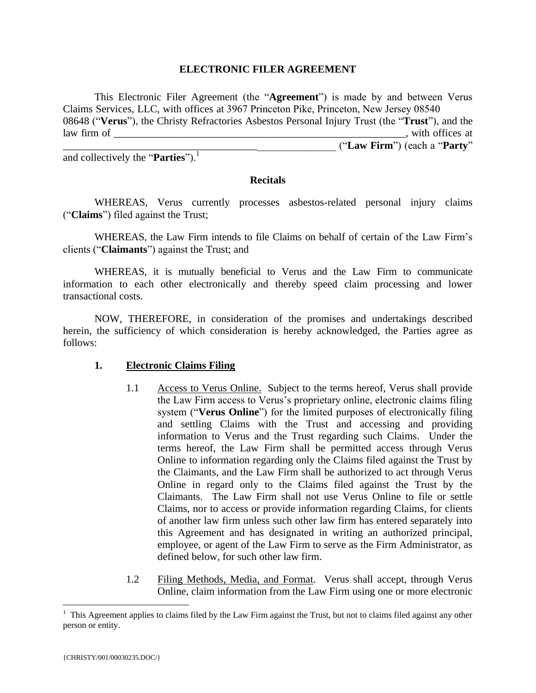#### **ELECTRONIC FILER AGREEMENT**

This Electronic Filer Agreement (the "**Agreement**") is made by and between Verus Claims Services, LLC, with offices at 3967 Princeton Pike, Princeton, New Jersey 08540 08648 ("**Verus**"), the Christy Refractories Asbestos Personal Injury Trust (the "**Trust**"), and the law firm of  $\qquad \qquad \qquad$ \_\_\_\_\_\_\_\_\_\_\_\_\_\_\_\_\_\_\_\_\_\_\_\_\_\_\_\_\_\_\_\_\_\_\_\_\_\_\_\_\_\_\_\_\_\_\_\_\_\_\_\_ ("**Law Firm**") (each a "**Party**"

and collectively the "**Parties**"). 1

#### **Recitals**

WHEREAS, Verus currently processes asbestos-related personal injury claims ("**Claims**") filed against the Trust;

WHEREAS, the Law Firm intends to file Claims on behalf of certain of the Law Firm's clients ("**Claimants**") against the Trust; and

WHEREAS, it is mutually beneficial to Verus and the Law Firm to communicate information to each other electronically and thereby speed claim processing and lower transactional costs.

NOW, THEREFORE, in consideration of the promises and undertakings described herein, the sufficiency of which consideration is hereby acknowledged, the Parties agree as follows:

### **1. Electronic Claims Filing**

- 1.1 Access to Verus Online. Subject to the terms hereof, Verus shall provide the Law Firm access to Verus's proprietary online, electronic claims filing system ("**Verus Online**") for the limited purposes of electronically filing and settling Claims with the Trust and accessing and providing information to Verus and the Trust regarding such Claims. Under the terms hereof, the Law Firm shall be permitted access through Verus Online to information regarding only the Claims filed against the Trust by the Claimants, and the Law Firm shall be authorized to act through Verus Online in regard only to the Claims filed against the Trust by the Claimants. The Law Firm shall not use Verus Online to file or settle Claims, nor to access or provide information regarding Claims, for clients of another law firm unless such other law firm has entered separately into this Agreement and has designated in writing an authorized principal, employee, or agent of the Law Firm to serve as the Firm Administrator, as defined below, for such other law firm.
- 1.2 Filing Methods, Media, and Format. Verus shall accept, through Verus Online, claim information from the Law Firm using one or more electronic

 $\overline{a}$ 

 $1$  This Agreement applies to claims filed by the Law Firm against the Trust, but not to claims filed against any other person or entity.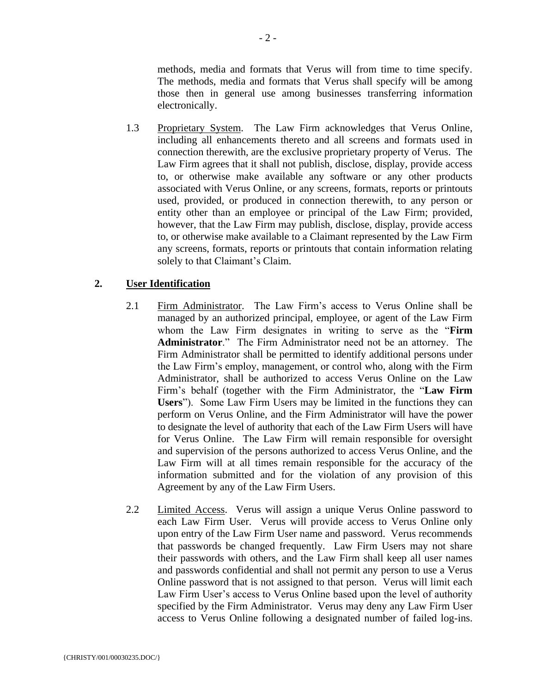methods, media and formats that Verus will from time to time specify. The methods, media and formats that Verus shall specify will be among those then in general use among businesses transferring information electronically.

1.3 Proprietary System. The Law Firm acknowledges that Verus Online, including all enhancements thereto and all screens and formats used in connection therewith, are the exclusive proprietary property of Verus. The Law Firm agrees that it shall not publish, disclose, display, provide access to, or otherwise make available any software or any other products associated with Verus Online, or any screens, formats, reports or printouts used, provided, or produced in connection therewith, to any person or entity other than an employee or principal of the Law Firm; provided, however, that the Law Firm may publish, disclose, display, provide access to, or otherwise make available to a Claimant represented by the Law Firm any screens, formats, reports or printouts that contain information relating solely to that Claimant's Claim.

### **2. User Identification**

- 2.1 Firm Administrator. The Law Firm's access to Verus Online shall be managed by an authorized principal, employee, or agent of the Law Firm whom the Law Firm designates in writing to serve as the "**Firm Administrator**." The Firm Administrator need not be an attorney. The Firm Administrator shall be permitted to identify additional persons under the Law Firm's employ, management, or control who, along with the Firm Administrator, shall be authorized to access Verus Online on the Law Firm's behalf (together with the Firm Administrator, the "**Law Firm Users**"). Some Law Firm Users may be limited in the functions they can perform on Verus Online, and the Firm Administrator will have the power to designate the level of authority that each of the Law Firm Users will have for Verus Online. The Law Firm will remain responsible for oversight and supervision of the persons authorized to access Verus Online, and the Law Firm will at all times remain responsible for the accuracy of the information submitted and for the violation of any provision of this Agreement by any of the Law Firm Users.
- 2.2 Limited Access. Verus will assign a unique Verus Online password to each Law Firm User. Verus will provide access to Verus Online only upon entry of the Law Firm User name and password. Verus recommends that passwords be changed frequently. Law Firm Users may not share their passwords with others, and the Law Firm shall keep all user names and passwords confidential and shall not permit any person to use a Verus Online password that is not assigned to that person. Verus will limit each Law Firm User's access to Verus Online based upon the level of authority specified by the Firm Administrator. Verus may deny any Law Firm User access to Verus Online following a designated number of failed log-ins.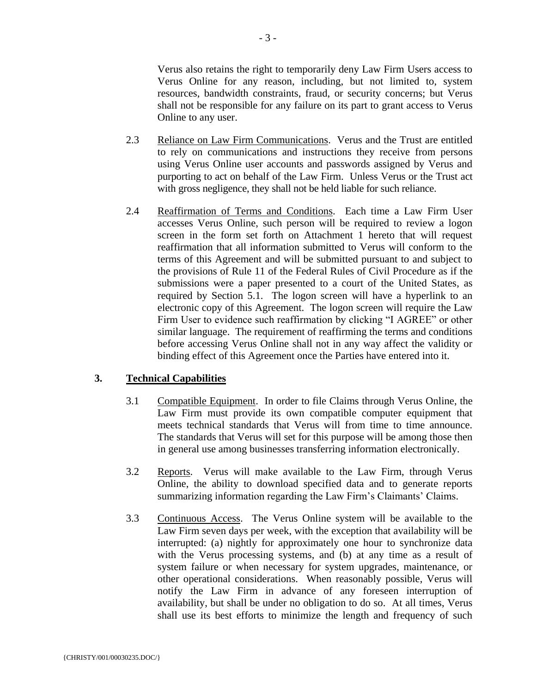Verus also retains the right to temporarily deny Law Firm Users access to Verus Online for any reason, including, but not limited to, system resources, bandwidth constraints, fraud, or security concerns; but Verus shall not be responsible for any failure on its part to grant access to Verus Online to any user.

- 2.3 Reliance on Law Firm Communications. Verus and the Trust are entitled to rely on communications and instructions they receive from persons using Verus Online user accounts and passwords assigned by Verus and purporting to act on behalf of the Law Firm. Unless Verus or the Trust act with gross negligence, they shall not be held liable for such reliance.
- 2.4 Reaffirmation of Terms and Conditions. Each time a Law Firm User accesses Verus Online, such person will be required to review a logon screen in the form set forth on Attachment 1 hereto that will request reaffirmation that all information submitted to Verus will conform to the terms of this Agreement and will be submitted pursuant to and subject to the provisions of Rule 11 of the Federal Rules of Civil Procedure as if the submissions were a paper presented to a court of the United States, as required by Section 5.1. The logon screen will have a hyperlink to an electronic copy of this Agreement. The logon screen will require the Law Firm User to evidence such reaffirmation by clicking "I AGREE" or other similar language. The requirement of reaffirming the terms and conditions before accessing Verus Online shall not in any way affect the validity or binding effect of this Agreement once the Parties have entered into it.

### **3. Technical Capabilities**

- 3.1 Compatible Equipment. In order to file Claims through Verus Online, the Law Firm must provide its own compatible computer equipment that meets technical standards that Verus will from time to time announce. The standards that Verus will set for this purpose will be among those then in general use among businesses transferring information electronically.
- 3.2 Reports. Verus will make available to the Law Firm, through Verus Online, the ability to download specified data and to generate reports summarizing information regarding the Law Firm's Claimants' Claims.
- 3.3 Continuous Access. The Verus Online system will be available to the Law Firm seven days per week, with the exception that availability will be interrupted: (a) nightly for approximately one hour to synchronize data with the Verus processing systems, and (b) at any time as a result of system failure or when necessary for system upgrades, maintenance, or other operational considerations. When reasonably possible, Verus will notify the Law Firm in advance of any foreseen interruption of availability, but shall be under no obligation to do so. At all times, Verus shall use its best efforts to minimize the length and frequency of such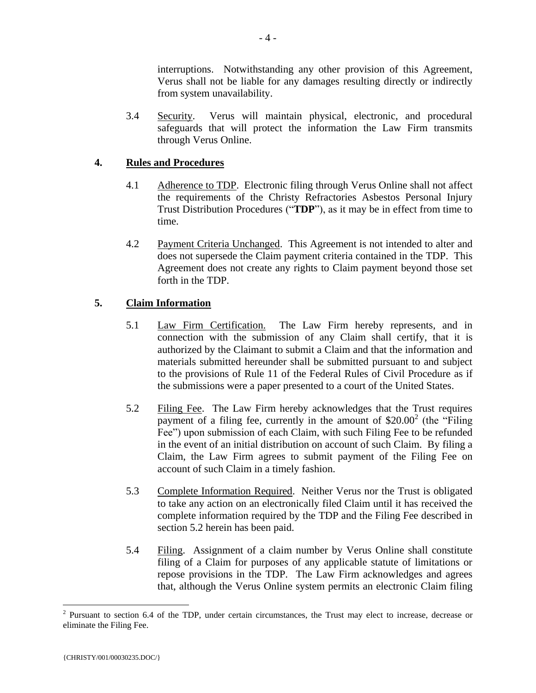interruptions. Notwithstanding any other provision of this Agreement, Verus shall not be liable for any damages resulting directly or indirectly from system unavailability.

3.4 Security. Verus will maintain physical, electronic, and procedural safeguards that will protect the information the Law Firm transmits through Verus Online.

# **4. Rules and Procedures**

- 4.1 Adherence to TDP. Electronic filing through Verus Online shall not affect the requirements of the Christy Refractories Asbestos Personal Injury Trust Distribution Procedures ("**TDP**"), as it may be in effect from time to time.
- 4.2 Payment Criteria Unchanged. This Agreement is not intended to alter and does not supersede the Claim payment criteria contained in the TDP. This Agreement does not create any rights to Claim payment beyond those set forth in the TDP.

# **5. Claim Information**

- 5.1 Law Firm Certification. The Law Firm hereby represents, and in connection with the submission of any Claim shall certify, that it is authorized by the Claimant to submit a Claim and that the information and materials submitted hereunder shall be submitted pursuant to and subject to the provisions of Rule 11 of the Federal Rules of Civil Procedure as if the submissions were a paper presented to a court of the United States.
- 5.2 Filing Fee. The Law Firm hereby acknowledges that the Trust requires payment of a filing fee, currently in the amount of  $$20.00^2$  (the "Filing Fee") upon submission of each Claim, with such Filing Fee to be refunded in the event of an initial distribution on account of such Claim. By filing a Claim, the Law Firm agrees to submit payment of the Filing Fee on account of such Claim in a timely fashion.
- 5.3 Complete Information Required. Neither Verus nor the Trust is obligated to take any action on an electronically filed Claim until it has received the complete information required by the TDP and the Filing Fee described in section 5.2 herein has been paid.
- 5.4 Filing. Assignment of a claim number by Verus Online shall constitute filing of a Claim for purposes of any applicable statute of limitations or repose provisions in the TDP. The Law Firm acknowledges and agrees that, although the Verus Online system permits an electronic Claim filing

 $\overline{a}$ 

 $2$  Pursuant to section 6.4 of the TDP, under certain circumstances, the Trust may elect to increase, decrease or eliminate the Filing Fee.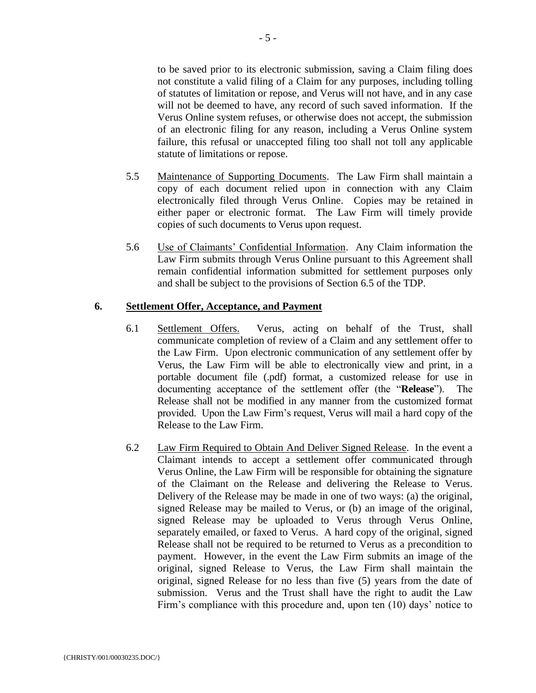to be saved prior to its electronic submission, saving a Claim filing does not constitute a valid filing of a Claim for any purposes, including tolling of statutes of limitation or repose, and Verus will not have, and in any case will not be deemed to have, any record of such saved information. If the Verus Online system refuses, or otherwise does not accept, the submission of an electronic filing for any reason, including a Verus Online system failure, this refusal or unaccepted filing too shall not toll any applicable statute of limitations or repose.

- 5.5 Maintenance of Supporting Documents. The Law Firm shall maintain a copy of each document relied upon in connection with any Claim electronically filed through Verus Online. Copies may be retained in either paper or electronic format. The Law Firm will timely provide copies of such documents to Verus upon request.
- 5.6 Use of Claimants' Confidential Information. Any Claim information the Law Firm submits through Verus Online pursuant to this Agreement shall remain confidential information submitted for settlement purposes only and shall be subject to the provisions of Section 6.5 of the TDP.

#### **6. Settlement Offer, Acceptance, and Payment**

- 6.1 Settlement Offers. Verus, acting on behalf of the Trust, shall communicate completion of review of a Claim and any settlement offer to the Law Firm. Upon electronic communication of any settlement offer by Verus, the Law Firm will be able to electronically view and print, in a portable document file (.pdf) format, a customized release for use in documenting acceptance of the settlement offer (the "**Release**"). The Release shall not be modified in any manner from the customized format provided. Upon the Law Firm's request, Verus will mail a hard copy of the Release to the Law Firm.
- 6.2 Law Firm Required to Obtain And Deliver Signed Release. In the event a Claimant intends to accept a settlement offer communicated through Verus Online, the Law Firm will be responsible for obtaining the signature of the Claimant on the Release and delivering the Release to Verus. Delivery of the Release may be made in one of two ways: (a) the original, signed Release may be mailed to Verus, or (b) an image of the original, signed Release may be uploaded to Verus through Verus Online, separately emailed, or faxed to Verus. A hard copy of the original, signed Release shall not be required to be returned to Verus as a precondition to payment. However, in the event the Law Firm submits an image of the original, signed Release to Verus, the Law Firm shall maintain the original, signed Release for no less than five (5) years from the date of submission. Verus and the Trust shall have the right to audit the Law Firm's compliance with this procedure and, upon ten (10) days' notice to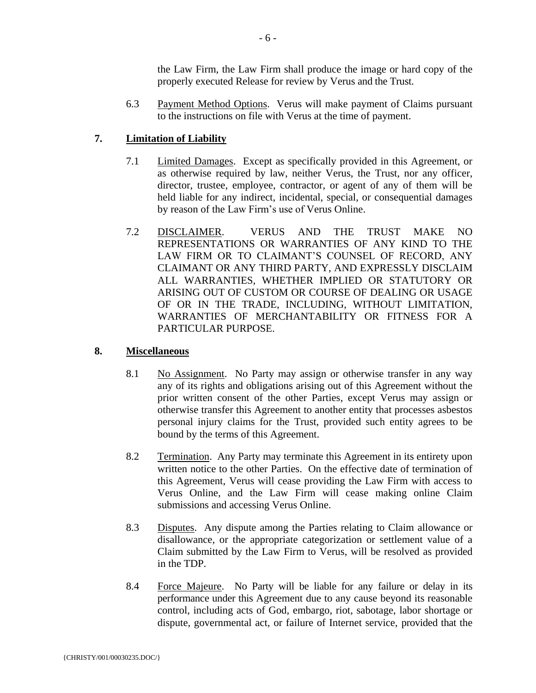the Law Firm, the Law Firm shall produce the image or hard copy of the properly executed Release for review by Verus and the Trust.

6.3 Payment Method Options. Verus will make payment of Claims pursuant to the instructions on file with Verus at the time of payment.

# **7. Limitation of Liability**

- 7.1 Limited Damages. Except as specifically provided in this Agreement, or as otherwise required by law, neither Verus, the Trust, nor any officer, director, trustee, employee, contractor, or agent of any of them will be held liable for any indirect, incidental, special, or consequential damages by reason of the Law Firm's use of Verus Online.
- 7.2 DISCLAIMER. VERUS AND THE TRUST MAKE NO REPRESENTATIONS OR WARRANTIES OF ANY KIND TO THE LAW FIRM OR TO CLAIMANT'S COUNSEL OF RECORD, ANY CLAIMANT OR ANY THIRD PARTY, AND EXPRESSLY DISCLAIM ALL WARRANTIES, WHETHER IMPLIED OR STATUTORY OR ARISING OUT OF CUSTOM OR COURSE OF DEALING OR USAGE OF OR IN THE TRADE, INCLUDING, WITHOUT LIMITATION, WARRANTIES OF MERCHANTABILITY OR FITNESS FOR A PARTICULAR PURPOSE.

### **8. Miscellaneous**

- 8.1 No Assignment. No Party may assign or otherwise transfer in any way any of its rights and obligations arising out of this Agreement without the prior written consent of the other Parties, except Verus may assign or otherwise transfer this Agreement to another entity that processes asbestos personal injury claims for the Trust, provided such entity agrees to be bound by the terms of this Agreement.
- 8.2 Termination. Any Party may terminate this Agreement in its entirety upon written notice to the other Parties. On the effective date of termination of this Agreement, Verus will cease providing the Law Firm with access to Verus Online, and the Law Firm will cease making online Claim submissions and accessing Verus Online.
- 8.3 Disputes. Any dispute among the Parties relating to Claim allowance or disallowance, or the appropriate categorization or settlement value of a Claim submitted by the Law Firm to Verus, will be resolved as provided in the TDP.
- 8.4 Force Majeure. No Party will be liable for any failure or delay in its performance under this Agreement due to any cause beyond its reasonable control, including acts of God, embargo, riot, sabotage, labor shortage or dispute, governmental act, or failure of Internet service, provided that the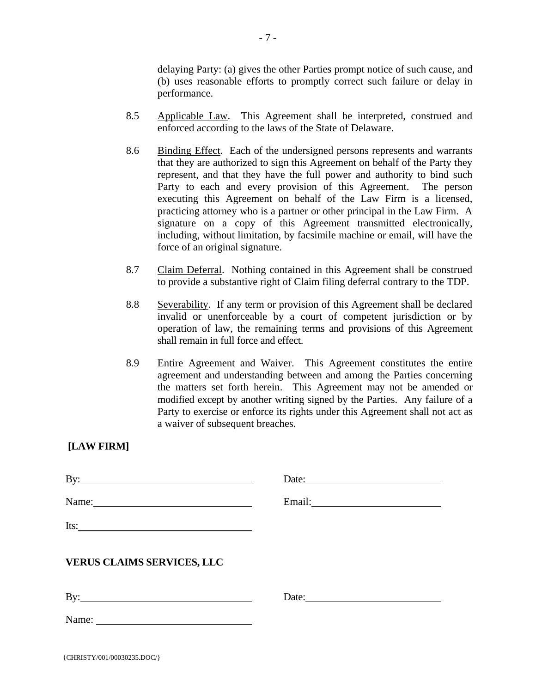delaying Party: (a) gives the other Parties prompt notice of such cause, and (b) uses reasonable efforts to promptly correct such failure or delay in performance.

- 8.5 Applicable Law. This Agreement shall be interpreted, construed and enforced according to the laws of the State of Delaware.
- 8.6 Binding Effect. Each of the undersigned persons represents and warrants that they are authorized to sign this Agreement on behalf of the Party they represent, and that they have the full power and authority to bind such Party to each and every provision of this Agreement. The person executing this Agreement on behalf of the Law Firm is a licensed, practicing attorney who is a partner or other principal in the Law Firm. A signature on a copy of this Agreement transmitted electronically, including, without limitation, by facsimile machine or email, will have the force of an original signature.
- 8.7 Claim Deferral. Nothing contained in this Agreement shall be construed to provide a substantive right of Claim filing deferral contrary to the TDP.
- 8.8 Severability. If any term or provision of this Agreement shall be declared invalid or unenforceable by a court of competent jurisdiction or by operation of law, the remaining terms and provisions of this Agreement shall remain in full force and effect.
- 8.9 Entire Agreement and Waiver. This Agreement constitutes the entire agreement and understanding between and among the Parties concerning the matters set forth herein. This Agreement may not be amended or modified except by another writing signed by the Parties. Any failure of a Party to exercise or enforce its rights under this Agreement shall not act as a waiver of subsequent breaches.

# **[LAW FIRM]**

| Name:                             |                       |
|-----------------------------------|-----------------------|
| Its: $\qquad \qquad$              |                       |
| <b>VERUS CLAIMS SERVICES, LLC</b> |                       |
| $\mathbf{By:}$                    | Date: $\qquad \qquad$ |
| Name:                             |                       |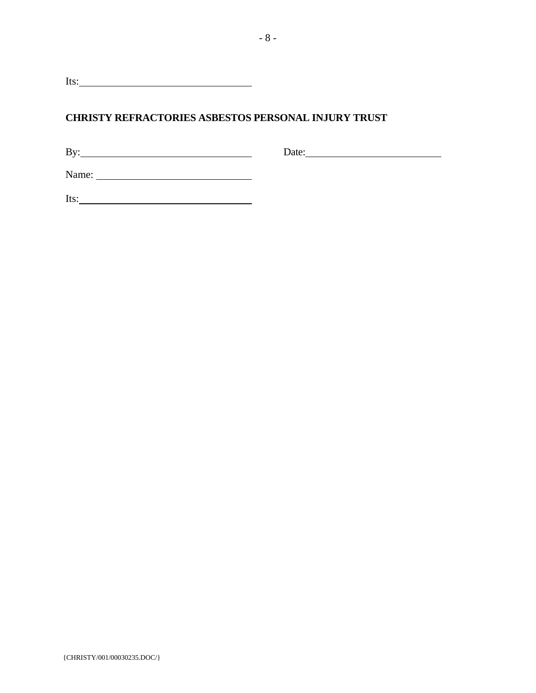Its: <u>and the set of the set of the set of the set of the set of the set of the set of the set of the set of the set of the set of the set of the set of the set of the set of the set of the set of the set of the set of the</u>

# **CHRISTY REFRACTORIES ASBESTOS PERSONAL INJURY TRUST**

By: Date: Date:

Name:

Its: <u>and the set of the set of the set of the set of the set of the set of the set of the set of the set of the set of the set of the set of the set of the set of the set of the set of the set of the set of the set of the</u>